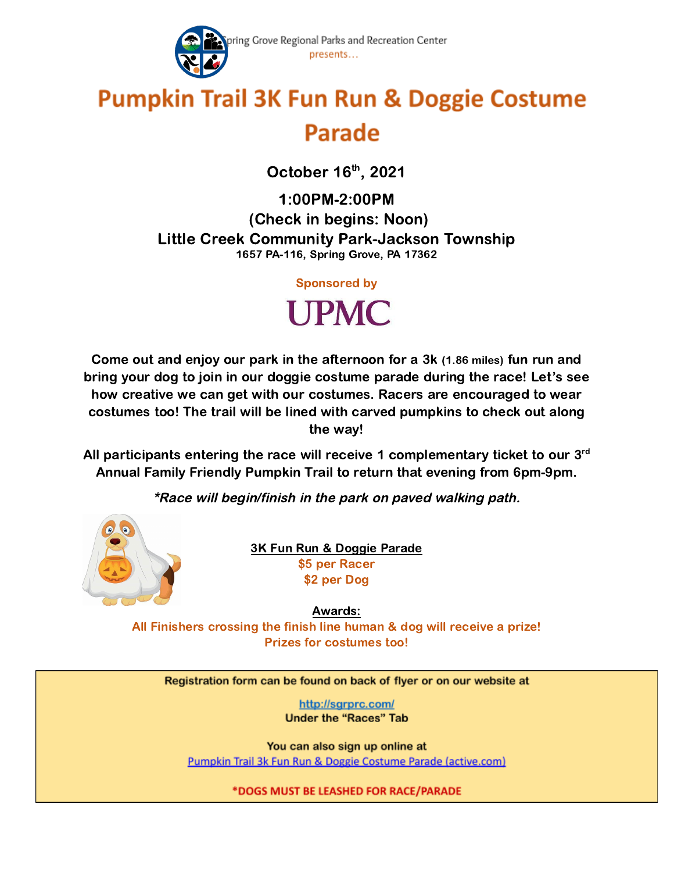

## **Pumpkin Trail 3K Fun Run & Doggie Costume Parade**

October 16<sup>th</sup>, 2021

1:00PM-2:00PM (Check in begins: Noon) Little Creek Community Park-Jackson Township 1657 PA-116, Spring Grove, PA 17362

Sponsored by



Come out and enjoy our park in the afternoon for a 3k (1.86 miles) fun run and bring your dog to join in our doggie costume parade during the race! Let's see how creative we can get with our costumes. Racers are encouraged to wear costumes too! The trail will be lined with carved pumpkins to check out along the way!

All participants entering the race will receive 1 complementary ticket to our  $3<sup>rd</sup>$ Annual Family Friendly Pumpkin Trail to return that evening from 6pm-9pm.

\*Race will begin/finish in the park on paved walking path.



3K Fun Run & Doggie Parade \$5 per Racer \$2 per Dog

Awards: All Finishers crossing the finish line human & dog will receive a prize! Prizes for costumes too!

Registration form can be found on back of flyer or on our website at

http://sgrprc.com/ **Under the "Races" Tab** 

You can also sign up online at Pumpkin Trail 3k Fun Run & Doggie Costume Parade (active.com)

\*DOGS MUST BE LEASHED FOR RACE/PARADE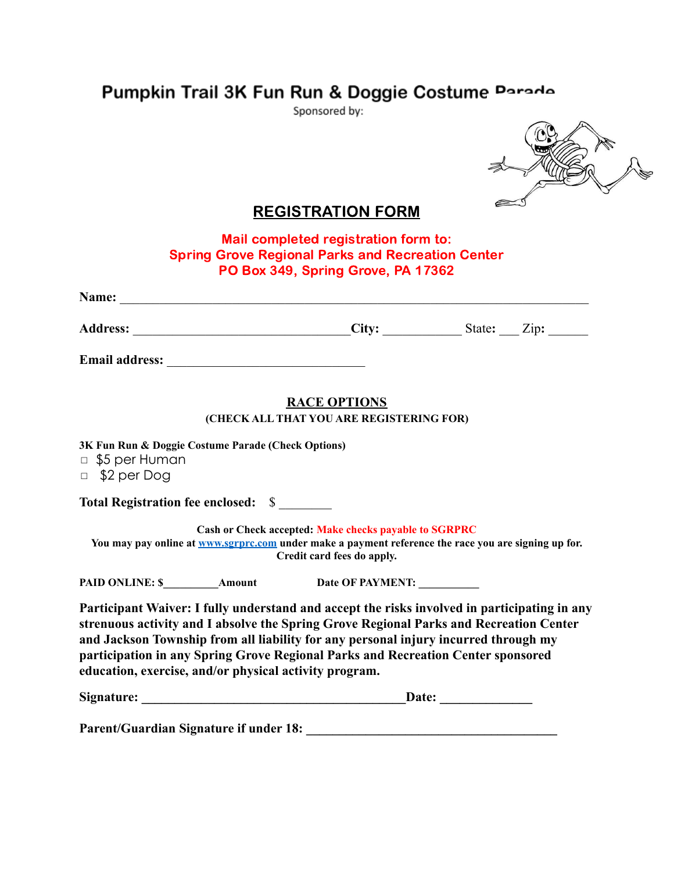## Pumpkin Trail 3K Fun Run & Doggie Costume Parade

Sponsored by:



## REGISTRATION FORM

Mail completed registration form to: Spring Grove Regional Parks and Recreation Center PO Box 349, Spring Grove, PA 17362

| Name:                                                                                                                                                                                                                                                                                                                                                             |                                                                                     |  |
|-------------------------------------------------------------------------------------------------------------------------------------------------------------------------------------------------------------------------------------------------------------------------------------------------------------------------------------------------------------------|-------------------------------------------------------------------------------------|--|
|                                                                                                                                                                                                                                                                                                                                                                   |                                                                                     |  |
|                                                                                                                                                                                                                                                                                                                                                                   |                                                                                     |  |
|                                                                                                                                                                                                                                                                                                                                                                   | <b>RACE OPTIONS</b>                                                                 |  |
|                                                                                                                                                                                                                                                                                                                                                                   | (CHECK ALL THAT YOU ARE REGISTERING FOR)                                            |  |
| 3K Fun Run & Doggie Costume Parade (Check Options)<br>$\Box$ \$5 per Human<br>$\Box$ \$2 per Dog                                                                                                                                                                                                                                                                  |                                                                                     |  |
| Total Registration fee enclosed: \$                                                                                                                                                                                                                                                                                                                               |                                                                                     |  |
| You may pay online at <b>WWW.SEPPTC.COM</b> under make a payment reference the race you are signing up for.                                                                                                                                                                                                                                                       | Cash or Check accepted: Make checks payable to SGRPRC<br>Credit card fees do apply. |  |
|                                                                                                                                                                                                                                                                                                                                                                   |                                                                                     |  |
| Participant Waiver: I fully understand and accept the risks involved in participating in any<br>strenuous activity and I absolve the Spring Grove Regional Parks and Recreation Center<br>and Jackson Township from all liability for any personal injury incurred through my<br>participation in any Spring Grove Regional Parks and Recreation Center sponsored |                                                                                     |  |

**education, exercise, and/or physical activity program.**

| Signature:<br><b>Date:</b> |
|----------------------------|
|                            |

Parent/Guardian Signature if under 18: